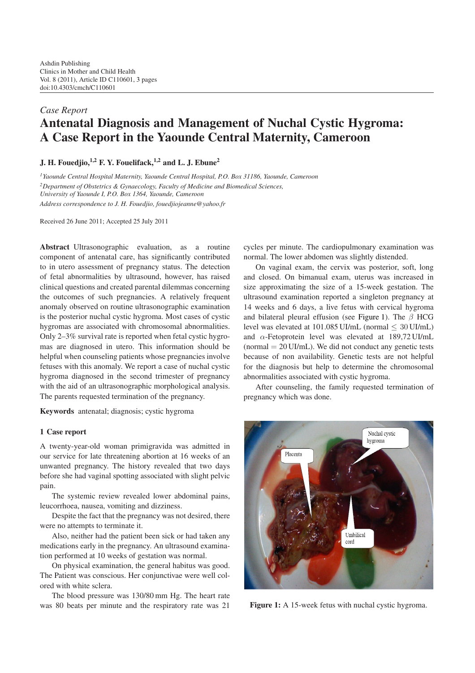# *Case Report* **Antenatal Diagnosis and Management of Nuchal Cystic Hygroma: A Case Report in the Yaounde Central Maternity, Cameroon**

**J. H. Fouedjio,1,2 F. Y. Fouelifack,1,2 and L. J. Ebune2**

*1Yaounde Central Hospital Maternity, Yaounde Central Hospital, P.O. Box 31186, Yaounde, Cameroon*

*2Department of Obstetrics & Gynaecology, Faculty of Medicine and Biomedical Sciences,*

*University of Yaounde I, P.O. Box 1364, Yaounde, Cameroon*

*Address correspondence to J. H. Fouedjio, fouedjiojeanne@yahoo.fr*

Received 26 June 2011; Accepted 25 July 2011

**Abstract** Ultrasonographic evaluation, as a routine component of antenatal care, has significantly contributed to in utero assessment of pregnancy status. The detection of fetal abnormalities by ultrasound, however, has raised clinical questions and created parental dilemmas concerning the outcomes of such pregnancies. A relatively frequent anomaly observed on routine ultrasonographic examination is the posterior nuchal cystic hygroma. Most cases of cystic hygromas are associated with chromosomal abnormalities. Only 2–3% survival rate is reported when fetal cystic hygromas are diagnosed in utero. This information should be helpful when counseling patients whose pregnancies involve fetuses with this anomaly. We report a case of nuchal cystic hygroma diagnosed in the second trimester of pregnancy with the aid of an ultrasonographic morphological analysis. The parents requested termination of the pregnancy.

**Keywords** antenatal; diagnosis; cystic hygroma

#### **1 Case report**

A twenty-year-old woman primigravida was admitted in our service for late threatening abortion at 16 weeks of an unwanted pregnancy. The history revealed that two days before she had vaginal spotting associated with slight pelvic pain.

The systemic review revealed lower abdominal pains, leucorrhoea, nausea, vomiting and dizziness.

Despite the fact that the pregnancy was not desired, there were no attempts to terminate it.

Also, neither had the patient been sick or had taken any medications early in the pregnancy. An ultrasound examination performed at 10 weeks of gestation was normal.

On physical examination, the general habitus was good. The Patient was conscious. Her conjunctivae were well colored with white sclera.

The blood pressure was 130/80 mm Hg. The heart rate was 80 beats per minute and the respiratory rate was 21

cycles per minute. The cardiopulmonary examination was normal. The lower abdomen was slightly distended.

On vaginal exam, the cervix was posterior, soft, long and closed. On bimanual exam, uterus was increased in size approximating the size of a 15-week gestation. The ultrasound examination reported a singleton pregnancy at 14 weeks and 6 days, a live fetus with cervical hygroma and bilateral pleural effusion (see [Figure 1\)](#page-0-0). The  $\beta$  HCG level was elevated at  $101.085$  UI/mL (normal  $\leq 30$  UI/mL) and  $\alpha$ -Fetoprotein level was elevated at 189,72 UI/mL (normal  $= 20$  UI/mL). We did not conduct any genetic tests because of non availability. Genetic tests are not helpful for the diagnosis but help to determine the chromosomal abnormalities associated with cystic hygroma.

After counseling, the family requested termination of pregnancy which was done.



<span id="page-0-0"></span>Figure 1: A 15-week fetus with nuchal cystic hygroma.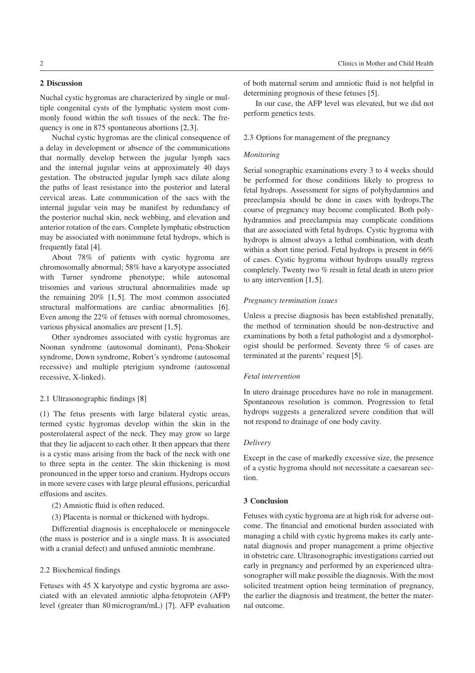# **2 Discussion**

Nuchal cystic hygromas are characterized by single or multiple congenital cysts of the lymphatic system most commonly found within the soft tissues of the neck. The frequency is one in 875 spontaneous abortions [\[2,](#page-2-1)[3\]](#page-2-2).

Nuchal cystic hygromas are the clinical consequence of a delay in development or absence of the communications that normally develop between the jugular lymph sacs and the internal jugular veins at approximately 40 days gestation. The obstructed jugular lymph sacs dilate along the paths of least resistance into the posterior and lateral cervical areas. Late communication of the sacs with the internal jugular vein may be manifest by redundancy of the posterior nuchal skin, neck webbing, and elevation and anterior rotation of the ears. Complete lymphatic obstruction may be associated with nonimmune fetal hydrops, which is frequently fatal [\[4\]](#page-2-3).

About 78% of patients with cystic hygroma are chromosomally abnormal; 58% have a karyotype associated with Turner syndrome phenotype; while autosomal trisomies and various structural abnormalities made up the remaining 20% [\[1,](#page-2-4)[5\]](#page-2-5). The most common associated structural malformations are cardiac abnormalities [\[6\]](#page-2-6). Even among the 22% of fetuses with normal chromosomes, various physical anomalies are present [\[1,](#page-2-4)[5\]](#page-2-5).

Other syndromes associated with cystic hygromas are Noonan syndrome (autosomal dominant), Pena-Shokeir syndrome, Down syndrome, Robert's syndrome (autosomal recessive) and multiple pterigium syndrome (autosomal recessive, X-linked).

#### 2.1 Ultrasonographic findings [\[8\]](#page-2-7)

(1) The fetus presents with large bilateral cystic areas, termed cystic hygromas develop within the skin in the posterolateral aspect of the neck. They may grow so large that they lie adjacent to each other. It then appears that there is a cystic mass arising from the back of the neck with one to three septa in the center. The skin thickening is most pronounced in the upper torso and cranium. Hydrops occurs in more severe cases with large pleural effusions, pericardial effusions and ascites.

(2) Amniotic fluid is often reduced.

(3) Placenta is normal or thickened with hydrops.

Differential diagnosis is encephalocele or meningocele (the mass is posterior and is a single mass. It is associated with a cranial defect) and unfused amniotic membrane.

#### 2.2 Biochemical findings

Fetuses with 45 X karyotype and cystic hygroma are associated with an elevated amniotic alpha-fetoprotein (AFP) level (greater than 80 microgram/mL) [\[7\]](#page-2-8). AFP evaluation

of both maternal serum and amniotic fluid is not helpful in determining prognosis of these fetuses [\[5\]](#page-2-5).

In our case, the AFP level was elevated, but we did not perform genetics tests.

## 2.3 Options for management of the pregnancy

## *Monitoring*

Serial sonographic examinations every 3 to 4 weeks should be performed for those conditions likely to progress to fetal hydrops. Assessment for signs of polyhydamnios and preeclampsia should be done in cases with hydrops.The course of pregnancy may become complicated. Both polyhydramnios and preeclampsia may complicate conditions that are associated with fetal hydrops. Cystic hygroma with hydrops is almost always a lethal combination, with death within a short time period. Fetal hydrops is present in 66% of cases. Cystic hygroma without hydrops usually regress completely. Twenty two % result in fetal death in utero prior to any intervention [\[1,](#page-2-4)[5\]](#page-2-5).

## *Pregnancy termination issues*

Unless a precise diagnosis has been established prenatally, the method of termination should be non-destructive and examinations by both a fetal pathologist and a dysmorphologist should be performed. Seventy three % of cases are terminated at the parents' request [\[5\]](#page-2-5).

#### *Fetal intervention*

In utero drainage procedures have no role in management. Spontaneous resolution is common. Progression to fetal hydrops suggests a generalized severe condition that will not respond to drainage of one body cavity.

#### *Delivery*

Except in the case of markedly excessive size, the presence of a cystic hygroma should not necessitate a caesarean section.

#### **3 Conclusion**

Fetuses with cystic hygroma are at high risk for adverse outcome. The financial and emotional burden associated with managing a child with cystic hygroma makes its early antenatal diagnosis and proper management a prime objective in obstetric care. Ultrasonographic investigations carried out early in pregnancy and performed by an experienced ultrasonographer will make possible the diagnosis. With the most solicited treatment option being termination of pregnancy, the earlier the diagnosis and treatment, the better the maternal outcome.